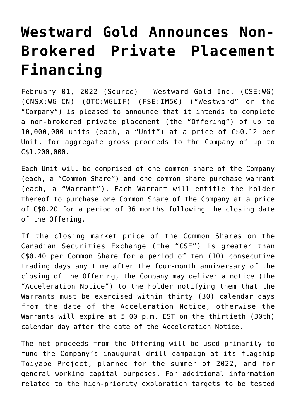## **[Westward Gold Announces Non-](https://investorintel.com/markets/gold-silver-base-metals/gold-precious-metals-news/westward-gold-announces-non-brokered-private-placement-financing/)[Brokered Private Placement](https://investorintel.com/markets/gold-silver-base-metals/gold-precious-metals-news/westward-gold-announces-non-brokered-private-placement-financing/) [Financing](https://investorintel.com/markets/gold-silver-base-metals/gold-precious-metals-news/westward-gold-announces-non-brokered-private-placement-financing/)**

February 01, 2022 ([Source](https://www.thenewswire.com/press-releases/1L7OFZQo5-westward-gold-announces-non-brokered-private-placement-financing.html)) — Westward Gold Inc. (CSE:WG) (CNSX:WG.CN) (OTC:WGLIF) (FSE:IM50) ("Westward" or the "Company") is pleased to announce that it intends to complete a non-brokered private placement (the "Offering") of up to 10,000,000 units (each, a "Unit") at a price of C\$0.12 per Unit, for aggregate gross proceeds to the Company of up to C\$1,200,000.

Each Unit will be comprised of one common share of the Company (each, a "Common Share") and one common share purchase warrant (each, a "Warrant"). Each Warrant will entitle the holder thereof to purchase one Common Share of the Company at a price of C\$0.20 for a period of 36 months following the closing date of the Offering.

If the closing market price of the Common Shares on the Canadian Securities Exchange (the "CSE") is greater than C\$0.40 per Common Share for a period of ten (10) consecutive trading days any time after the four-month anniversary of the closing of the Offering, the Company may deliver a notice (the "Acceleration Notice") to the holder notifying them that the Warrants must be exercised within thirty (30) calendar days from the date of the Acceleration Notice, otherwise the Warrants will expire at 5:00 p.m. EST on the thirtieth (30th) calendar day after the date of the Acceleration Notice.

The net proceeds from the Offering will be used primarily to fund the Company's inaugural drill campaign at its flagship Toiyabe Project, planned for the summer of 2022, and for general working capital purposes. For additional information related to the high-priority exploration targets to be tested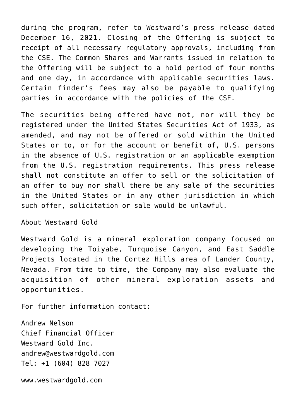during the program, refer to Westward's press release dated December 16, 2021. Closing of the Offering is subject to receipt of all necessary regulatory approvals, including from the CSE. The Common Shares and Warrants issued in relation to the Offering will be subject to a hold period of four months and one day, in accordance with applicable securities laws. Certain finder's fees may also be payable to qualifying parties in accordance with the policies of the CSE.

The securities being offered have not, nor will they be registered under the United States Securities Act of 1933, as amended, and may not be offered or sold within the United States or to, or for the account or benefit of, U.S. persons in the absence of U.S. registration or an applicable exemption from the U.S. registration requirements. This press release shall not constitute an offer to sell or the solicitation of an offer to buy nor shall there be any sale of the securities in the United States or in any other jurisdiction in which such offer, solicitation or sale would be unlawful.

About Westward Gold

Westward Gold is a mineral exploration company focused on developing the Toiyabe, Turquoise Canyon, and East Saddle Projects located in the Cortez Hills area of Lander County, Nevada. From time to time, the Company may also evaluate the acquisition of other mineral exploration assets and opportunities.

For further information contact:

Andrew Nelson Chief Financial Officer Westward Gold Inc. andrew@westwardgold.com Tel: +1 (604) 828 7027

www.westwardgold.com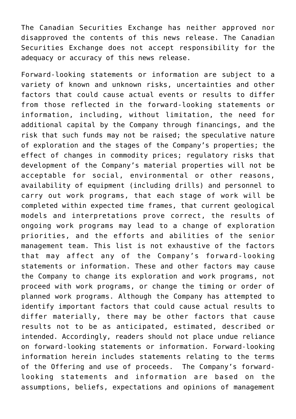The Canadian Securities Exchange has neither approved nor disapproved the contents of this news release. The Canadian Securities Exchange does not accept responsibility for the adequacy or accuracy of this news release.

Forward-looking statements or information are subject to a variety of known and unknown risks, uncertainties and other factors that could cause actual events or results to differ from those reflected in the forward-looking statements or information, including, without limitation, the need for additional capital by the Company through financings, and the risk that such funds may not be raised; the speculative nature of exploration and the stages of the Company's properties; the effect of changes in commodity prices; regulatory risks that development of the Company's material properties will not be acceptable for social, environmental or other reasons, availability of equipment (including drills) and personnel to carry out work programs, that each stage of work will be completed within expected time frames, that current geological models and interpretations prove correct, the results of ongoing work programs may lead to a change of exploration priorities, and the efforts and abilities of the senior management team. This list is not exhaustive of the factors that may affect any of the Company's forward-looking statements or information. These and other factors may cause the Company to change its exploration and work programs, not proceed with work programs, or change the timing or order of planned work programs. Although the Company has attempted to identify important factors that could cause actual results to differ materially, there may be other factors that cause results not to be as anticipated, estimated, described or intended. Accordingly, readers should not place undue reliance on forward-looking statements or information. Forward-looking information herein includes statements relating to the terms of the Offering and use of proceeds. The Company's forwardlooking statements and information are based on the assumptions, beliefs, expectations and opinions of management